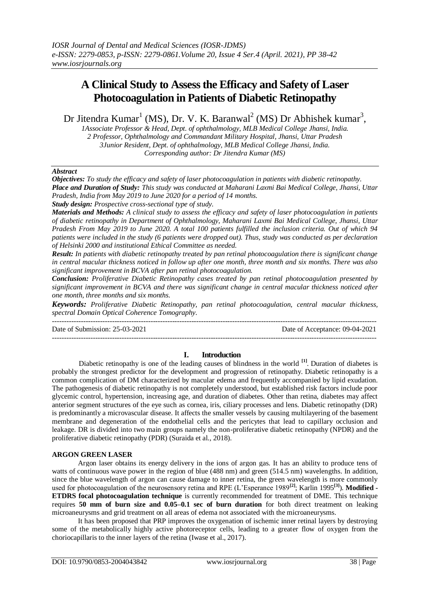# **A Clinical Study to Assess the Efficacy and Safety of Laser Photocoagulation in Patients of Diabetic Retinopathy**

Dr Jitendra Kumar<sup>1</sup> (MS), Dr. V. K. Baranwal<sup>2</sup> (MS) Dr Abhishek kumar<sup>3</sup>,

*1Associate Professor & Head, Dept. of ophthalmology, MLB Medical College Jhansi, India. 2 Professor, Ophthalmology and Commandant Military Hospital, Jhansi, Uttar Pradesh 3Junior Resident, Dept. of ophthalmology, MLB Medical College Jhansi, India. Corresponding author: Dr Jitendra Kumar (MS)*

## *Abstract*

*Objectives: To study the efficacy and safety of laser photocoagulation in patients with diabetic retinopathy. Place and Duration of Study: This study was conducted at Maharani Laxmi Bai Medical College, Jhansi, Uttar Pradesh, India from May 2019 to June 2020 for a period of 14 months.*

*Study design: Prospective cross-sectional type of study.*

---------------------------------------------------------------------------------------------------------------------------------------

*Materials and Methods: A clinical study to assess the efficacy and safety of laser photocoagulation in patients of diabetic retinopathy in Department of Ophthalmology, Maharani Laxmi Bai Medical College, Jhansi, Uttar Pradesh From May 2019 to June 2020. A total 100 patients fulfilled the inclusion criteria. Out of which 94 patients were included in the study (6 patients were dropped out). Thus, study was conducted as per declaration of Helsinki 2000 and institutional Ethical Committee as needed.*

*Result: In patients with diabetic retinopathy treated by pan retinal photocoagulation there is significant change in central macular thickness noticed in follow up after one month, three month and six months. There was also significant improvement in BCVA after pan retinal photocoagulation.*

*Conclusion: Proliferative Diabetic Retinopathy cases treated by pan retinal photocoagulation presented by significant improvement in BCVA and there was significant change in central macular thickness noticed after one month, three months and six months.*

*Keywords: Proliferative Diabetic Retinopathy, pan retinal photocoagulation, central macular thickness, spectral Domain Optical Coherence Tomography.* ---------------------------------------------------------------------------------------------------------------------------------------

Date of Submission: 25-03-2021 Date of Acceptance: 09-04-2021

# **I. Introduction**

Diabetic retinopathy is one of the leading causes of blindness in the world <sup>[1]</sup>. Duration of diabetes is probably the strongest predictor for the development and progression of retinopathy. Diabetic retinopathy is a common complication of DM characterized by macular edema and frequently accompanied by lipid exudation. The pathogenesis of diabetic retinopathy is not completely understood, but established risk factors include poor glycemic control, hypertension, increasing age, and duration of diabetes. Other than retina, diabetes may affect anterior segment structures of the eye such as cornea, iris, ciliary processes and lens. Diabetic retinopathy (DR) is predominantly a microvascular disease. It affects the smaller vessels by causing multilayering of the basement membrane and degeneration of the endothelial cells and the pericytes that lead to capillary occlusion and leakage. DR is divided into two main groups namely the non-proliferative diabetic retinopathy (NPDR) and the proliferative diabetic retinopathy (PDR) (Suraida et al., 2018).

# **ARGON GREEN LASER**

Argon laser obtains its energy delivery in the ions of argon gas. It has an ability to produce tens of watts of continuous wave power in the region of blue (488 nm) and green (514.5 nm) wavelengths. In addition, since the blue wavelength of argon can cause damage to inner retina, the green wavelength is more commonly used for photocoagulation of the neurosensory retina and RPE (L'Esperance 1989**[2]** ; Karlin 1995**[3]**). **Modified - ETDRS focal photocoagulation technique** is currently recommended for treatment of DME. This technique requires **50 mm of burn size and 0.05–0.1 sec of burn duration** for both direct treatment on leaking microaneurysms and grid treatment on all areas of edema not associated with the microaneurysms.

It has been proposed that PRP improves the oxygenation of ischemic inner retinal layers by destroying some of the metabolically highly active photoreceptor cells, leading to a greater flow of oxygen from the choriocapillaris to the inner layers of the retina (Iwase et al., 2017).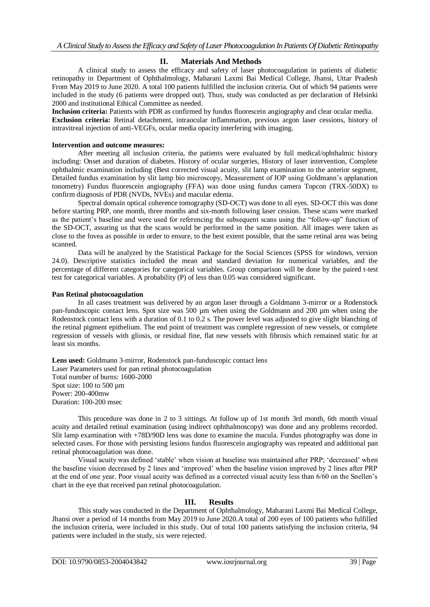# **II. Materials And Methods**

A clinical study to assess the efficacy and safety of laser photocoagulation in patients of diabetic retinopathy in Department of Ophthalmology, Maharani Laxmi Bai Medical College, Jhansi, Uttar Pradesh From May 2019 to June 2020. A total 100 patients fulfilled the inclusion criteria. Out of which 94 patients were included in the study (6 patients were dropped out). Thus, study was conducted as per declaration of Helsinki 2000 and institutional Ethical Committee as needed.

**Inclusion criteria:** Patients with PDR as confirmed by fundus fluorescein angiography and clear ocular media. **Exclusion criteria:** Retinal detachment, intraocular inflammation, previous argon laser cessions, history of intravitreal injection of anti-VEGFs, ocular media opacity interfering with imaging.

#### **Intervention and outcome measures:**

After meeting all inclusion criteria, the patients were evaluated by full medical/ophthalmic history including: Onset and duration of diabetes. History of ocular surgeries, History of laser intervention, Complete ophthalmic examination including (Best corrected visual acuity, slit lamp examination to the anterior segment, Detailed fundus examination by slit lamp bio microscopy, Measurement of IOP using Goldmann's applanation tonometry) Fundus fluorescein angiography (FFA) was done using fundus camera Topcon (TRX-50DX) to confirm diagnosis of PDR (NVDs, NVEs) and macular edema.

Spectral domain optical coherence tomography (SD-OCT) was done to all eyes. SD-OCT this was done before starting PRP, one month, three months and six-month following laser cession. These scans were marked as the patient's baseline and were used for referencing the subsequent scans using the "follow-up" function of the SD-OCT, assuring us that the scans would be performed in the same position. All images were taken as close to the fovea as possible in order to ensure, to the best extent possible, that the same retinal area was being scanned.

Data will be analyzed by the Statistical Package for the Social Sciences (SPSS for windows, version 24.0). Descriptive statistics included the mean and standard deviation for numerical variables, and the percentage of different categories for categorical variables. Group comparison will be done by the paired t-test test for categorical variables. A probability (P) of less than 0.05 was considered significant.

## **Pan Retinal photocoagulation**

In all cases treatment was delivered by an argon laser through a Goldmann 3-mirror or a Rodenstock pan-funduscopic contact lens. Spot size was 500 µm when using the Goldmann and 200 µm when using the Rodenstock contact lens with a duration of 0.1 to 0.2 s. The power level was adjusted to give slight blanching of the retinal pigment epithelium. The end point of treatment was complete regression of new vessels, or complete regression of vessels with gliosis, or residual fine, flat new vessels with fibrosis which remained static for at least six months.

**Lens used:** Goldmann 3-mirror, Rodenstock pan-funduscopic contact lens Laser Parameters used for pan retinal photocoagulation Total number of burns: 1600-2000 Spot size: 100 to 500  $\mu$ m Power: 200-400mw Duration: 100-200 msec

This procedure was done in 2 to 3 sittings. At follow up of 1st month 3rd month, 6th month visual acuity and detailed retinal examination (using indirect ophthalmoscopy) was done and any problems recorded. Slit lamp examination with +78D/90D lens was done to examine the macula. Fundus photography was done in selected cases. For those with persisting lesions fundus fluorescein angiography was repeated and additional pan retinal photocoagulation was done.

Visual acuity was defined 'stable' when vision at baseline was maintained after PRP; 'decreased' when the baseline vision decreased by 2 lines and 'improved' when the baseline vision improved by 2 lines after PRP at the end of one year. Poor visual acuity was defined as a corrected visual acuity less than 6/60 on the Snellen's chart in the eye that received pan retinal photocoagulation.

## **III. Results**

This study was conducted in the Department of Ophthalmology, Maharani Laxmi Bai Medical College, Jhansi over a period of 14 months from May 2019 to June 2020.A total of 200 eyes of 100 patients who fulfilled the inclusion criteria, were included in this study. Out of total 100 patients satisfying the inclusion criteria, 94 patients were included in the study, six were rejected.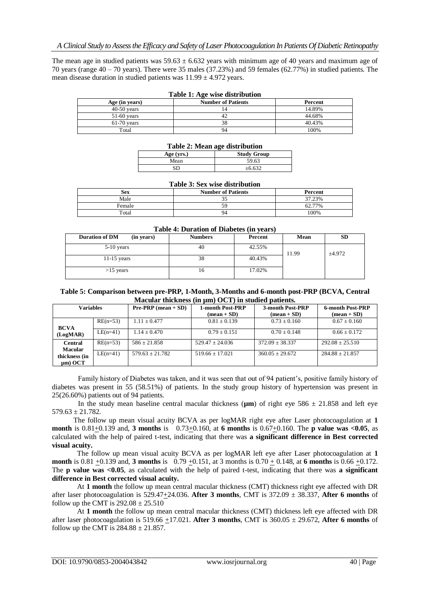The mean age in studied patients was  $59.63 \pm 6.632$  years with minimum age of 40 years and maximum age of 70 years (range 40 – 70 years). There were 35 males (37.23%) and 59 females (62.77%) in studied patients. The mean disease duration in studied patients was  $11.99 \pm 4.972$  years.

**Table 1: Age wise distribution**

| Table 1: Age wise distribution |                           |         |  |  |
|--------------------------------|---------------------------|---------|--|--|
| Age (in years)                 | <b>Number of Patients</b> | Percent |  |  |
| $40-50$ years                  |                           | 14.89%  |  |  |
| $51-60$ vears                  |                           | 44.68%  |  |  |
| $61-70$ vears                  |                           | 40.43%  |  |  |
| Total                          | 94                        | 100%    |  |  |

| Table 2: Mean age distribution |  |
|--------------------------------|--|
|--------------------------------|--|

| Age (yrs.) | <b>Study Group</b> |  |  |  |
|------------|--------------------|--|--|--|
| Mean       | 59.63              |  |  |  |
| GP.        | $-6.632$           |  |  |  |

| Table 3: Sex wise distribution |                           |         |  |
|--------------------------------|---------------------------|---------|--|
| Sex                            | <b>Number of Patients</b> | Percent |  |
| Male                           |                           | 37.23%  |  |
| Female                         | 59                        | 62.77%  |  |
| Total                          | 94                        | 100%    |  |

#### **Table 4: Duration of Diabetes (in years)**

| THEN IT DUITS OF DROVES $(III, VIII)$ |                |         |       |           |  |
|---------------------------------------|----------------|---------|-------|-----------|--|
| <b>Duration of DM</b><br>(in years)   | <b>Numbers</b> | Percent | Mean  | <b>SD</b> |  |
| $5-10$ years                          | 40             | 42.55%  | 11.99 | ±4.972    |  |
| 11-15 years                           | 38             | 40.43%  |       |           |  |
| $>15$ years                           | 10             | 17.02%  |       |           |  |

#### **Table 5: Comparison between pre-PRP, 1-Month, 3-Months and 6-month post-PRP (BCVA, Central Macular thickness (in µm) OCT) in studied patients.**

| <b>Variables</b>                 |            | $Pre-PRP (mean + SD)$ | 1-month Post-PRP<br>$mean + SD$ | 3-month Post-PRP<br>$(\text{mean} + \text{SD})$ | 6-month Post-PRP<br>$(\text{mean} + \text{SD})$ |
|----------------------------------|------------|-----------------------|---------------------------------|-------------------------------------------------|-------------------------------------------------|
| <b>BCVA</b>                      | $RE(n=53)$ | $1.11 + 0.477$        | $0.81 \pm 0.139$                | $0.73 + 0.160$                                  | $0.67 + 0.160$                                  |
| (LogMAR)                         | $LE(n=41)$ | $1.14 + 0.470$        | $0.79 + 0.151$                  | $0.70 + 0.148$                                  | $0.66 + 0.172$                                  |
| <b>Central</b><br><b>Macular</b> | $RE(n=53)$ | $586 + 21.858$        | $529.47 + 24.036$               | $372.09 + 38.337$                               | $292.08 + 25.510$                               |
| thickness (in<br>$\mu$ m) OCT    | $LE(n=41)$ | $579.63 + 21.782$     | $519.66 + 17.021$               | $360.05 + 29.672$                               | $284.88 + 21.857$                               |

Family history of Diabetes was taken, and it was seen that out of 94 patient's, positive family history of diabetes was present in 55 (58.51%) of patients. In the study group history of hypertension was present in 25(26.60%) patients out of 94 patients.

In the study mean baseline central macular thickness ( $\mu$ m) of right eye 586  $\pm$  21.858 and left eye  $579.63 \pm 21.782$ .

 The follow up mean visual acuity BCVA as per logMAR right eye after Laser photocoagulation at **1 month** is  $0.81+0.139$  and, **3 months** is  $0.73+0.160$ , at **6 months** is  $0.67+0.160$ . The **p** value was <0.05, as calculated with the help of paired t-test, indicating that there was **a significant difference in Best corrected visual acuity.**

 The follow up mean visual acuity BCVA as per logMAR left eye after Laser photocoagulation at **1 month** is 0.81 +0.139 and, **3 months** is 0.79 +0.151, at 3 months is 0.70 + 0.148, at **6 months** is 0.66 +0.172. The **p value was <0.05**, as calculated with the help of paired t-test, indicating that there was **a significant difference in Best corrected visual acuity.**

 At **1 month** the follow up mean central macular thickness (CMT) thickness right eye affected with DR after laser photocoagulation is 529.47 $\pm$ 24.036. After 3 months, CMT is 372.09  $\pm$  38.337, After 6 months of follow up the CMT is  $292.08 \pm 25.510$ 

 At **1 month** the follow up mean central macular thickness (CMT) thickness left eye affected with DR after laser photocoagulation is 519.66  $\pm$ 17.021. After 3 months, CMT is 360.05  $\pm$  29.672, After 6 months of follow up the CMT is  $284.88 \pm 21.857$ .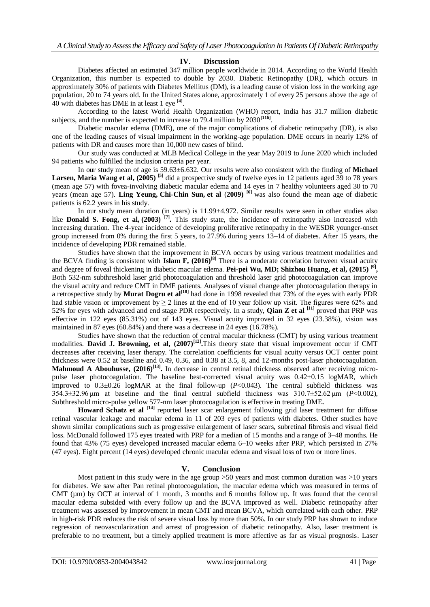## **IV. Discussion**

Diabetes affected an estimated 347 million people worldwide in 2014. According to the World Health Organization, this number is expected to double by 2030. Diabetic Retinopathy (DR), which occurs in approximately 30% of patients with Diabetes Mellitus (DM), is a leading cause of vision loss in the working age population, 20 to 74 years old. In the United States alone, approximately 1 of every 25 persons above the age of 40 with diabetes has DME in at least 1 eye **[4]** .

According to the latest World Health Organization (WHO) report, India has 31.7 million diabetic subjects, and the number is expected to increase to  $79.4$  million by  $2030^{[11\bar{6}]}$ .

Diabetic macular edema (DME), one of the major complications of diabetic retinopathy (DR), is also one of the leading causes of visual impairment in the working-age population. DME occurs in nearly 12% of patients with DR and causes more than 10,000 new cases of blind.

Our study was conducted at MLB Medical College in the year May 2019 to June 2020 which included 94 patients who fulfilled the inclusion criteria per year.

In our study mean of age is 59.63±6.632. Our results were also consistent with the finding of **Michael**  Larsen, Maria Wang et al, (2005)<sup>[5]</sup> did a prospective study of twelve eyes in 12 patients aged 39 to 78 years (mean age 57) with fovea-involving diabetic macular edema and 14 eyes in 7 healthy volunteers aged 30 to 70 years (mean age 57). **Ling Yeung, Chi-Chin Sun, et al** (**2009) [6]** was also found the mean age of diabetic patients is 62.2 years in his study.

In our study mean duration (in years) is 11.99±4.972. Similar results were seen in other studies also like **Donald S. Fong, et al, (2003) [7] .** This study state, the incidence of retinopathy also increased with increasing duration. The 4-year incidence of developing proliferative retinopathy in the WESDR younger-onset group increased from 0% during the first 5 years, to 27.9% during years 13–14 of diabetes. After 15 years, the incidence of developing PDR remained stable.

Studies have shown that the improvement in BCVA occurs by using various treatment modalities and the BCVA finding is consistent with **[Islam F,](https://www.ncbi.nlm.nih.gov/pubmed/?term=Islam%20F%5BAuthor%5D&cauthor=true&cauthor_uid=27504553)**  $(2016)^{[8]}$  There is a moderate correlation between visual acuity and degree of foveal thickening in diabetic macular edema. **Pei-pei Wu, MD; Shizhou Huang, et al, (2015) [9] ,**  Both 532-nm subthreshold laser grid photocoagulation and threshold laser grid photocoagulation can improve the visual acuity and reduce CMT in DME patients. Analyses of visual change after photocoagulation therapy in a retrospective study by **Murat Dogru et al[10]** had done in 1998 revealed that 73% of the eyes with early PDR had stable vision or improvement by  $\geq 2$  lines at the end of 10 year follow up visit. The figures were 62% and 52% for eyes with advanced and end stage PDR respectively. In a study, **Qian Z et al [11]** proved that PRP was effective in 122 eyes (85.31%) out of 143 eyes. Visual acuity improved in 32 eyes (23.38%), vision was maintained in 87 eyes (60.84%) and there was a decrease in 24 eyes (16.78%).

Studies have shown that the reduction of central macular thickness (CMT) by using various treatment modalities. **David J. Browning, et al, (2007)[12] .**This theory state that visual improvement occur if CMT decreases after receiving laser therapy. The correlation coefficients for visual acuity versus OCT center point thickness were 0.52 at baseline and 0.49, 0.36, and 0.38 at 3.5, 8, and 12-months post-laser photocoagulation. **Mahmoud A Abouhusse, (2016)[13] .** In decrease in central retinal thickness observed after receiving micropulse laser photocoagulation. The baseline best-corrected visual acuity was 0.42±0.15 logMAR, which improved to 0.3±0.26 logMAR at the final follow-up (*P*<0.043). The central subfield thickness was 354.3±32.96 μm at baseline and the final central subfield thickness was 310.7±52.62 μm (*P*<0.002), Subthreshold micro-pulse yellow 577-nm laser photocoagulation is effective in treating DME**.**

Howard Schatz et al <sup>[14]</sup> reported laser scar enlargement following grid laser treatment for diffuse retinal vascular leakage and macular edema in 11 of 203 eyes of patients with diabetes. Other studies have shown similar complications such as progressive enlargement of laser scars, subretinal fibrosis and visual field loss. McDonald followed 175 eyes treated with PRP for a median of 15 months and a range of 3–48 months. He found that 43% (75 eyes) developed increased macular edema 6–10 weeks after PRP, which persisted in 27% (47 eyes). Eight percent (14 eyes) developed chronic macular edema and visual loss of two or more lines.

# **V. Conclusion**

Most patient in this study were in the age group  $>50$  years and most common duration was  $>10$  years for diabetes. We saw after Pan retinal photocoagulation, the macular edema which was measured in terms of CMT ( $\mu$ m) by OCT at interval of 1 month, 3 months and 6 months follow up. It was found that the central macular edema subsided with every follow up and the BCVA improved as well. Diabetic retinopathy after treatment was assessed by improvement in mean CMT and mean BCVA, which correlated with each other. PRP in high-risk PDR reduces the risk of severe visual loss by more than 50%. In our study PRP has shown to induce regression of neovascularization and arrest of progression of diabetic retinopathy. Also, laser treatment is preferable to no treatment, but a timely applied treatment is more affective as far as visual prognosis. Laser